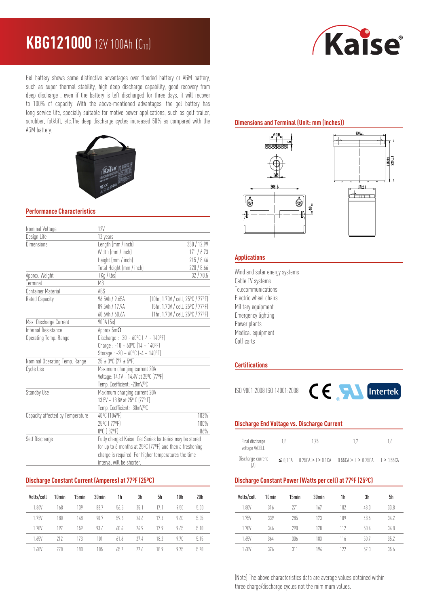# **KBG121000** 12V 100Ah (C10)



Gel battery shows some distinctive advantages over flooded battery or AGM battery, such as super thermal stability, high deep discharge capability, good recovery from deep discharge , even if the battery is left discharged for three days, it will recover to 100% of capacity. With the above-mentioned advantages, the gel battery has long service life, specially suitable for motive power applications, such as golf trailer, scrubber, folklift, etc.The deep discharge cycles increased 50% as compared with the AGM battery.



## **Performance Characteristics**

| Nominal Voltage                  | 12V                                                                                                                                                          |                                   |  |  |
|----------------------------------|--------------------------------------------------------------------------------------------------------------------------------------------------------------|-----------------------------------|--|--|
| Design Life                      | 12 years                                                                                                                                                     |                                   |  |  |
| Dimensions                       | Length (mm / inch)                                                                                                                                           | 330 / 12.99                       |  |  |
|                                  | Width (mm / inch)                                                                                                                                            | 171/6.73                          |  |  |
|                                  | Height (mm / inch)                                                                                                                                           | 215/8.46                          |  |  |
|                                  | Total Height (mm / inch)                                                                                                                                     | 220/8.66                          |  |  |
| Approx. Weight                   | (Kq / lbs)<br>32/70.5                                                                                                                                        |                                   |  |  |
| Terminal                         | M <sub>8</sub>                                                                                                                                               |                                   |  |  |
| <b>Container Material</b>        | ABS                                                                                                                                                          |                                   |  |  |
| Rated Capacity                   | 96.5Ah / 9.65A                                                                                                                                               | (10hr. 1.70V / cell. 25°C / 77°F) |  |  |
|                                  | 89.5Ah / 17.9A                                                                                                                                               | (5hr, 1.70V / cell, 25°C / 77°F)  |  |  |
|                                  | 60.6Ah / 60.6A                                                                                                                                               | (1hr, 1.70V / cell, 25°C / 77°F)  |  |  |
| Max. Discharge Current           | 900A (5s)                                                                                                                                                    |                                   |  |  |
| Internal Resistance              | Approx $5m\Omega$                                                                                                                                            |                                   |  |  |
| Operating Temp. Range            | Discharge: $-20 - 60^{\circ}C$ $[-4 - 140^{\circ}F]$<br>Charge: $-10 - 60^{\circ}C(14 - 140^{\circ}F)$<br>Storage: $-20 - 60^{\circ}C$ $[-4 - 140^{\circ}F]$ |                                   |  |  |
|                                  |                                                                                                                                                              |                                   |  |  |
|                                  |                                                                                                                                                              |                                   |  |  |
| Nominal Operating Temp. Range    | $25 \pm 3^{\circ}$ C (77 ± 5°F)                                                                                                                              |                                   |  |  |
| Cycle Use                        | Maximum charging current 20A                                                                                                                                 |                                   |  |  |
|                                  | Voltage: 14.1V ~ 14.4V at 25°C (77°F)                                                                                                                        |                                   |  |  |
|                                  | Temp. Coefficient: -20mV/ºC                                                                                                                                  |                                   |  |  |
| Standby Use                      | Maximum charging current 20A                                                                                                                                 |                                   |  |  |
|                                  | 13.5V ~ 13.8V at 25° C (77° F)                                                                                                                               |                                   |  |  |
|                                  | Temp. Coefficient: -30mV/°C                                                                                                                                  |                                   |  |  |
| Capacity affected by Temperature | 40°C (104°F)                                                                                                                                                 | 103%                              |  |  |
|                                  | 25°C (77°F)                                                                                                                                                  | 100%                              |  |  |
|                                  | 0°C (32°F)                                                                                                                                                   | 86%                               |  |  |
| Self Discharge                   | Fully charged Kaise Gel Series batteries may be stored                                                                                                       |                                   |  |  |
|                                  | for up to 6 months at 25°C (77°F) and then a freshening                                                                                                      |                                   |  |  |
|                                  | charge is required. For higher temperatures the time                                                                                                         |                                   |  |  |
|                                  | interval will be shorter.                                                                                                                                    |                                   |  |  |

## **Discharge Constant Current (Amperes) at 77ºF (25ºC)**

| Volts/cell | 10 <sub>min</sub> | 15min | 30 <sub>min</sub> | 1h   | 3h   | 5h   | 10h  | 20h  |
|------------|-------------------|-------|-------------------|------|------|------|------|------|
| 1.80V      | 168               | 139   | 88.7              | 56.5 | 75.1 | 17.1 | 9.50 | 5.00 |
| 1.75V      | 180               | 148   | 90.7              | 59.6 | 26.6 | 17.4 | 9.60 | 5.05 |
| 1.70V      | 197               | 159   | 93.6              | 60.6 | 26.9 | 179  | 9.65 | 5.10 |
| 1.65V      | 212               | 173   | 101               | 61.6 | 774  | 18.2 | 970  | 5.15 |
| 1.60V      | 770               | 180   | 105               | 65.2 | 77.6 | 18.9 | 9.75 | 5.20 |

## **Dimensions and Terminal (Unit: mm (inches))**



## **Applications**

Wind and solar energy systems Cable TV systems Telecommunications Electric wheel chairs Military equipment Emergency lighting Power plants Medical equipment Golf carts

### **Certifications**



# **Discharge End Voltage vs. Discharge Current**

| Final discharge<br>voltage V/CELL | 18 | 175 | 17                                                                               | 1.6 |
|-----------------------------------|----|-----|----------------------------------------------------------------------------------|-----|
| Discharge current<br>ſA           |    |     | $1 \le 0.1$ CA $0.25$ CA $\ge 1$ > 0.1CA $0.55$ CA $\ge 1$ > 0.25CA $1$ > 0.55CA |     |

#### **Discharge Constant Power (Watts per cell) at 77ºF (25ºC)**

| Volts/cell | 10 <sub>min</sub> | 15min | 30 <sub>min</sub> | 1h  | 3h   | 5h   |
|------------|-------------------|-------|-------------------|-----|------|------|
| 1.80V      | 316               | 271   | 167               | 102 | 48.0 | 33.8 |
| 1.75V      | 339               | 285   | 173               | 109 | 48.6 | 34.2 |
| 1.70V      | 346               | 290   | 178               | 112 | 50.4 | 34.8 |
| 1.65V      | 364               | 306   | 183               | 116 | 50.7 | 35.2 |
| 1.60V      | 376               | 311   | 194               | 177 | 52.3 | 35.6 |

(Note) The above characteristics data are average values obtained within three charge/discharge cycles not the mimimum values.